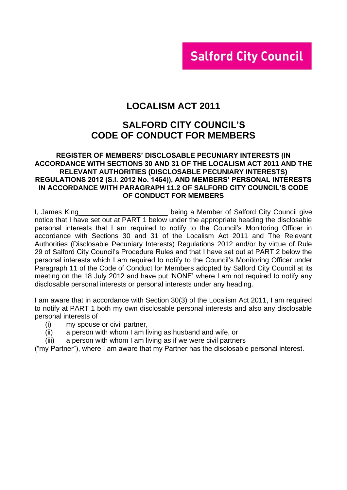# **Salford City Council**

# **LOCALISM ACT 2011**

# **SALFORD CITY COUNCIL'S CODE OF CONDUCT FOR MEMBERS**

#### **REGISTER OF MEMBERS' DISCLOSABLE PECUNIARY INTERESTS (IN ACCORDANCE WITH SECTIONS 30 AND 31 OF THE LOCALISM ACT 2011 AND THE RELEVANT AUTHORITIES (DISCLOSABLE PECUNIARY INTERESTS) REGULATIONS 2012 (S.I. 2012 No. 1464)), AND MEMBERS' PERSONAL INTERESTS IN ACCORDANCE WITH PARAGRAPH 11.2 OF SALFORD CITY COUNCIL'S CODE OF CONDUCT FOR MEMBERS**

I, James King **Example 20** Sering a Member of Salford City Council give notice that I have set out at PART 1 below under the appropriate heading the disclosable personal interests that I am required to notify to the Council's Monitoring Officer in accordance with Sections 30 and 31 of the Localism Act 2011 and The Relevant Authorities (Disclosable Pecuniary Interests) Regulations 2012 and/or by virtue of Rule 29 of Salford City Council's Procedure Rules and that I have set out at PART 2 below the personal interests which I am required to notify to the Council's Monitoring Officer under Paragraph 11 of the Code of Conduct for Members adopted by Salford City Council at its meeting on the 18 July 2012 and have put 'NONE' where I am not required to notify any disclosable personal interests or personal interests under any heading.

I am aware that in accordance with Section 30(3) of the Localism Act 2011, I am required to notify at PART 1 both my own disclosable personal interests and also any disclosable personal interests of

- (i) my spouse or civil partner,
- (ii) a person with whom I am living as husband and wife, or
- (iii) a person with whom I am living as if we were civil partners

("my Partner"), where I am aware that my Partner has the disclosable personal interest.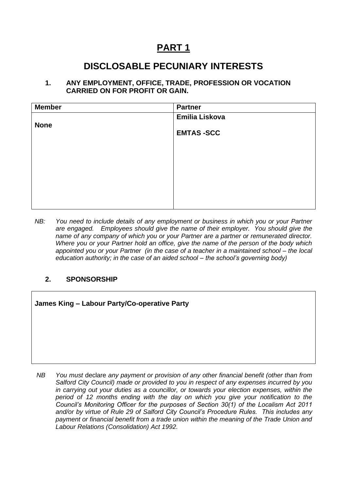# **PART 1**

# **DISCLOSABLE PECUNIARY INTERESTS**

#### **1. ANY EMPLOYMENT, OFFICE, TRADE, PROFESSION OR VOCATION CARRIED ON FOR PROFIT OR GAIN.**

| <b>Member</b> | <b>Partner</b>   |
|---------------|------------------|
|               | Emilia Liskova   |
| <b>None</b>   |                  |
|               | <b>EMTAS-SCC</b> |
|               |                  |
|               |                  |
|               |                  |
|               |                  |
|               |                  |
|               |                  |
|               |                  |

*NB: You need to include details of any employment or business in which you or your Partner are engaged. Employees should give the name of their employer. You should give the name of any company of which you or your Partner are a partner or remunerated director. Where you or your Partner hold an office, give the name of the person of the body which appointed you or your Partner (in the case of a teacher in a maintained school – the local education authority; in the case of an aided school – the school's governing body)*

### **2. SPONSORSHIP**

**James King – Labour Party/Co-operative Party**

*NB You must* declare *any payment or provision of any other financial benefit (other than from Salford City Council) made or provided to you in respect of any expenses incurred by you in carrying out your duties as a councillor, or towards your election expenses, within the period of 12 months ending with the day on which you give your notification to the Council's Monitoring Officer for the purposes of Section 30(1) of the Localism Act 2011 and/or by virtue of Rule 29 of Salford City Council's Procedure Rules. This includes any payment or financial benefit from a trade union within the meaning of the Trade Union and Labour Relations (Consolidation) Act 1992.*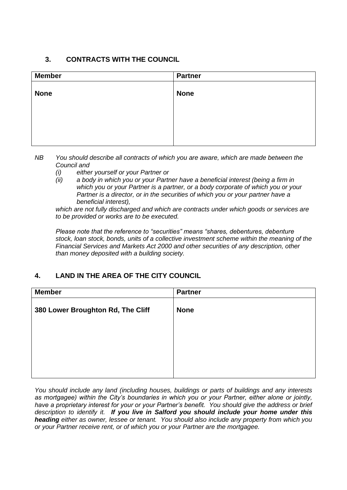### **3. CONTRACTS WITH THE COUNCIL**

| <b>Member</b> | <b>Partner</b> |
|---------------|----------------|
| <b>None</b>   | <b>None</b>    |
|               |                |
|               |                |
|               |                |

- *NB You should describe all contracts of which you are aware, which are made between the Council and* 
	- *(i) either yourself or your Partner or*
	- *(ii) a body in which you or your Partner have a beneficial interest (being a firm in which you or your Partner is a partner, or a body corporate of which you or your Partner is a director, or in the securities of which you or your partner have a beneficial interest),*

*which are not fully discharged and which are contracts under which goods or services are to be provided or works are to be executed.*

*Please note that the reference to "securities" means "shares, debentures, debenture stock, loan stock, bonds, units of a collective investment scheme within the meaning of the Financial Services and Markets Act 2000 and other securities of any description, other than money deposited with a building society.*

## **4. LAND IN THE AREA OF THE CITY COUNCIL**

| <b>Member</b>                     | <b>Partner</b> |
|-----------------------------------|----------------|
| 380 Lower Broughton Rd, The Cliff | <b>None</b>    |
|                                   |                |
|                                   |                |
|                                   |                |

*You should include any land (including houses, buildings or parts of buildings and any interests as mortgagee) within the City's boundaries in which you or your Partner, either alone or jointly, have a proprietary interest for your or your Partner's benefit. You should give the address or brief description to identify it. If you live in Salford you should include your home under this heading either as owner, lessee or tenant. You should also include any property from which you or your Partner receive rent, or of which you or your Partner are the mortgagee.*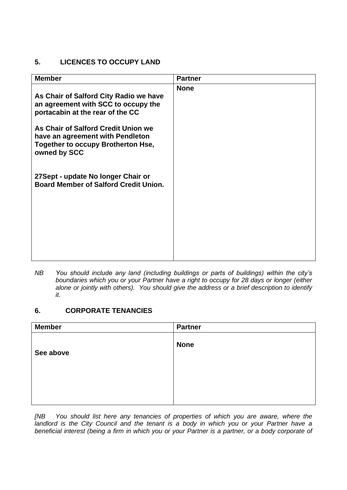### **5. LICENCES TO OCCUPY LAND**

| <b>None</b> |
|-------------|
|             |
|             |

*NB You should include any land (including buildings or parts of buildings) within the city's boundaries which you or your Partner have a right to occupy for 28 days or longer (either alone or jointly with others). You should give the address or a brief description to identify it.*

### **6. CORPORATE TENANCIES**

| <b>Member</b> | <b>Partner</b> |
|---------------|----------------|
| See above     | <b>None</b>    |
|               |                |

*[NB You should list here any tenancies of properties of which you are aware, where the*  landlord is the City Council and the tenant is a body in which you or your Partner have a *beneficial interest (being a firm in which you or your Partner is a partner, or a body corporate of*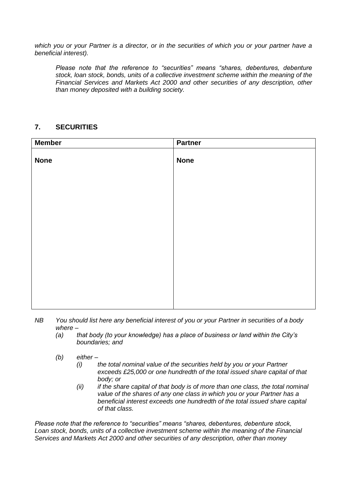*which you or your Partner is a director, or in the securities of which you or your partner have a beneficial interest).* 

*Please note that the reference to "securities" means "shares, debentures, debenture stock, loan stock, bonds, units of a collective investment scheme within the meaning of the Financial Services and Markets Act 2000 and other securities of any description, other than money deposited with a building society.*

### **7. SECURITIES**

| <b>Member</b> | <b>Partner</b> |
|---------------|----------------|
| <b>None</b>   | <b>None</b>    |
|               |                |
|               |                |
|               |                |
|               |                |
|               |                |
|               |                |

- *NB You should list here any beneficial interest of you or your Partner in securities of a body where –*
	- *(a) that body (to your knowledge) has a place of business or land within the City's boundaries; and*
	- *(b) either –*
		- *(i) the total nominal value of the securities held by you or your Partner exceeds £25,000 or one hundredth of the total issued share capital of that body; or*
		- *(ii) if the share capital of that body is of more than one class, the total nominal value of the shares of any one class in which you or your Partner has a beneficial interest exceeds one hundredth of the total issued share capital of that class.*

*Please note that the reference to "securities" means "shares, debentures, debenture stock, Loan stock, bonds, units of a collective investment scheme within the meaning of the Financial Services and Markets Act 2000 and other securities of any description, other than money*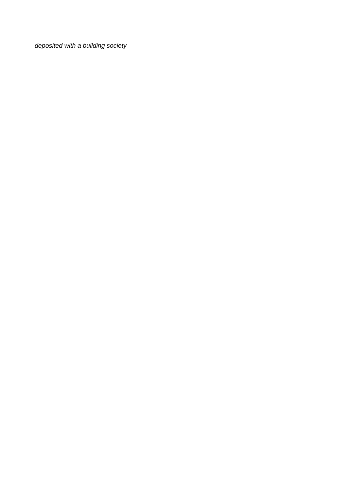*deposited with a building society*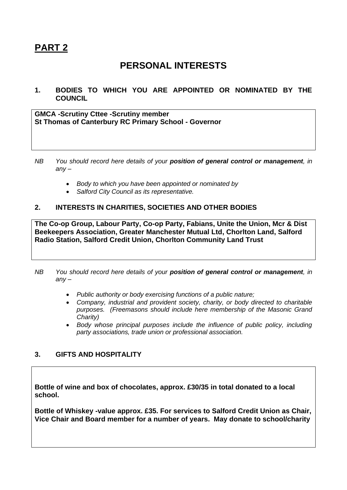# **PART 2**

# **PERSONAL INTERESTS**

**1. BODIES TO WHICH YOU ARE APPOINTED OR NOMINATED BY THE COUNCIL**

**GMCA -Scrutiny Cttee -Scrutiny member St Thomas of Canterbury RC Primary School - Governor**

- *NB You should record here details of your position of general control or management, in any –*
	- *Body to which you have been appointed or nominated by*
	- *Salford City Council as its representative.*

### **2. INTERESTS IN CHARITIES, SOCIETIES AND OTHER BODIES**

**The Co-op Group, Labour Party, Co-op Party, Fabians, Unite the Union, Mcr & Dist Beekeepers Association, Greater Manchester Mutual Ltd, Chorlton Land, Salford Radio Station, Salford Credit Union, Chorlton Community Land Trust**

- *NB You should record here details of your position of general control or management, in any –*
	- *Public authority or body exercising functions of a public nature;*
	- *Company, industrial and provident society, charity, or body directed to charitable purposes. (Freemasons should include here membership of the Masonic Grand Charity)*
	- *Body whose principal purposes include the influence of public policy, including party associations, trade union or professional association.*

### **3. GIFTS AND HOSPITALITY**

**Bottle of wine and box of chocolates, approx. £30/35 in total donated to a local school.**

**Bottle of Whiskey -value approx. £35. For services to Salford Credit Union as Chair, Vice Chair and Board member for a number of years. May donate to school/charity**